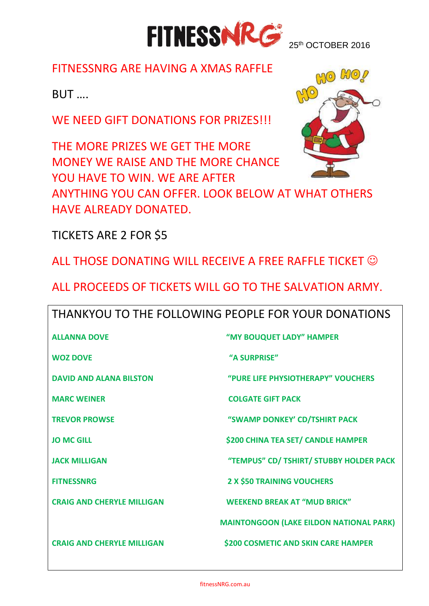

## FITNESSNRG ARE HAVING A XMAS RAFFLE

BUT ….

WE NEED GIFT DONATIONS FOR PRIZES!!!

THE MORE PRIZES WE GET THE MORE MONEY WE RAISE AND THE MORE CHANCE YOU HAVE TO WIN. WE ARE AFTER

ANYTHING YOU CAN OFFER. LOOK BELOW AT WHAT OTHERS HAVE ALREADY DONATED.

TICKETS ARE 2 FOR \$5

ALL THOSE DONATING WILL RECEIVE A FREE RAFFLE TICKET

ALL PROCEEDS OF TICKETS WILL GO TO THE SALVATION ARMY.

| THANKYOU TO THE FOLLOWING PEOPLE FOR YOUR DONATIONS |                                                |  |
|-----------------------------------------------------|------------------------------------------------|--|
| <b>ALLANNA DOVE</b>                                 | "MY BOUQUET LADY" HAMPER                       |  |
| <b>WOZ DOVE</b>                                     | "A SURPRISE"                                   |  |
| <b>DAVID AND ALANA BILSTON</b>                      | "PURE LIFE PHYSIOTHERAPY" VOUCHERS             |  |
| <b>MARC WEINER</b>                                  | <b>COLGATE GIFT PACK</b>                       |  |
| <b>TREVOR PROWSE</b>                                | "SWAMP DONKEY' CD/TSHIRT PACK                  |  |
| <b>JO MC GILL</b>                                   | <b>\$200 CHINA TEA SET/ CANDLE HAMPER</b>      |  |
| <b>JACK MILLIGAN</b>                                | "TEMPUS" CD/ TSHIRT/ STUBBY HOLDER PACK        |  |
| <b>FITNESSNRG</b>                                   | <b>2 X \$50 TRAINING VOUCHERS</b>              |  |
| <b>CRAIG AND CHERYLE MILLIGAN</b>                   | <b>WEEKEND BREAK AT "MUD BRICK"</b>            |  |
|                                                     | <b>MAINTONGOON (LAKE EILDON NATIONAL PARK)</b> |  |
| <b>CRAIG AND CHERYLE MILLIGAN</b>                   | <b>\$200 COSMETIC AND SKIN CARE HAMPER</b>     |  |
|                                                     |                                                |  |